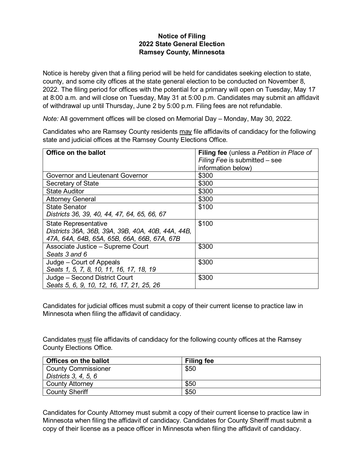## **Notice of Filing 2022 State General Election Ramsey County, Minnesota**

Notice is hereby given that a filing period will be held for candidates seeking election to state, county, and some city offices at the state general election to be conducted on November 8, 2022. The filing period for offices with the potential for a primary will open on Tuesday, May 17 at 8:00 a.m. and will close on Tuesday, May 31 at 5:00 p.m. Candidates may submit an affidavit of withdrawal up until Thursday, June 2 by 5:00 p.m. Filing fees are not refundable.

*Note:* All government offices will be closed on Memorial Day – Monday, May 30, 2022.

Candidates who are Ramsey County residents may file affidavits of candidacy for the following state and judicial offices at the Ramsey County Elections Office.

| Office on the ballot                              | <b>Filing fee</b> (unless a Petition in Place of |
|---------------------------------------------------|--------------------------------------------------|
|                                                   | Filing Fee is submitted - see                    |
|                                                   | information below)                               |
| Governor and Lieutenant Governor                  | \$300                                            |
| Secretary of State                                | \$300                                            |
| <b>State Auditor</b>                              | \$300                                            |
| <b>Attorney General</b>                           | \$300                                            |
| State Senator                                     | \$100                                            |
| Districts 36, 39, 40, 44, 47, 64, 65, 66, 67      |                                                  |
| <b>State Representative</b>                       | \$100                                            |
| Districts 36A, 36B, 39A, 39B, 40A, 40B, 44A, 44B, |                                                  |
| 47A, 64A, 64B, 65A, 65B, 66A, 66B, 67A, 67B       |                                                  |
| Associate Justice - Supreme Court                 | \$300                                            |
| Seats 3 and 6                                     |                                                  |
| Judge – Court of Appeals                          | \$300                                            |
| Seats 1, 5, 7, 8, 10, 11, 16, 17, 18, 19          |                                                  |
| Judge – Second District Court                     | \$300                                            |
| Seats 5, 6, 9, 10, 12, 16, 17, 21, 25, 26         |                                                  |

Candidates for judicial offices must submit a copy of their current license to practice law in Minnesota when filing the affidavit of candidacy.

Candidates must file affidavits of candidacy for the following county offices at the Ramsey County Elections Office.

| <b>Offices on the ballot</b> | <b>Filing fee</b> |
|------------------------------|-------------------|
| <b>County Commissioner</b>   | \$50              |
| Districts 3, 4, 5, 6         |                   |
| <b>County Attorney</b>       | \$50              |
| <b>County Sheriff</b>        | \$50              |

Candidates for County Attorney must submit a copy of their current license to practice law in Minnesota when filing the affidavit of candidacy. Candidates for County Sheriff must submit a copy of their license as a peace officer in Minnesota when filing the affidavit of candidacy.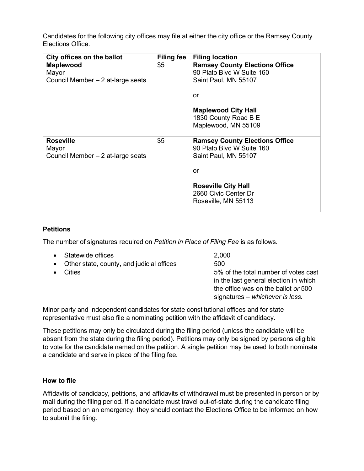Candidates for the following city offices may file at either the city office or the Ramsey County Elections Office.

| City offices on the ballot                                     | Filing fee | <b>Filing location</b>                                                                                                                                                        |
|----------------------------------------------------------------|------------|-------------------------------------------------------------------------------------------------------------------------------------------------------------------------------|
| <b>Maplewood</b><br>Mayor<br>Council Member - 2 at-large seats | \$5        | <b>Ramsey County Elections Office</b><br>90 Plato Blvd W Suite 160<br>Saint Paul, MN 55107<br>or<br><b>Maplewood City Hall</b><br>1830 County Road B E<br>Maplewood, MN 55109 |
| <b>Roseville</b><br>Mayor<br>Council Member – 2 at-large seats | \$5        | <b>Ramsey County Elections Office</b><br>90 Plato Blvd W Suite 160<br>Saint Paul, MN 55107<br>or<br><b>Roseville City Hall</b><br>2660 Civic Center Dr<br>Roseville, MN 55113 |

## **Petitions**

The number of signatures required on *Petition in Place of Filing Fee* is as follows.

|           | • Statewide offices                         | 2,000                                                                                                                                                   |
|-----------|---------------------------------------------|---------------------------------------------------------------------------------------------------------------------------------------------------------|
|           | • Other state, county, and judicial offices | 500                                                                                                                                                     |
| $\bullet$ | Cities                                      | 5% of the total number of votes cast<br>in the last general election in which<br>the office was on the ballot or 500<br>signatures – whichever is less. |

Minor party and independent candidates for state constitutional offices and for state representative must also file a nominating petition with the affidavit of candidacy.

These petitions may only be circulated during the filing period (unless the candidate will be absent from the state during the filing period). Petitions may only be signed by persons eligible to vote for the candidate named on the petition. A single petition may be used to both nominate a candidate and serve in place of the filing fee.

## **How to file**

Affidavits of candidacy, petitions, and affidavits of withdrawal must be presented in person or by mail during the filing period. If a candidate must travel out-of-state during the candidate filing period based on an emergency, they should contact the Elections Office to be informed on how to submit the filing.